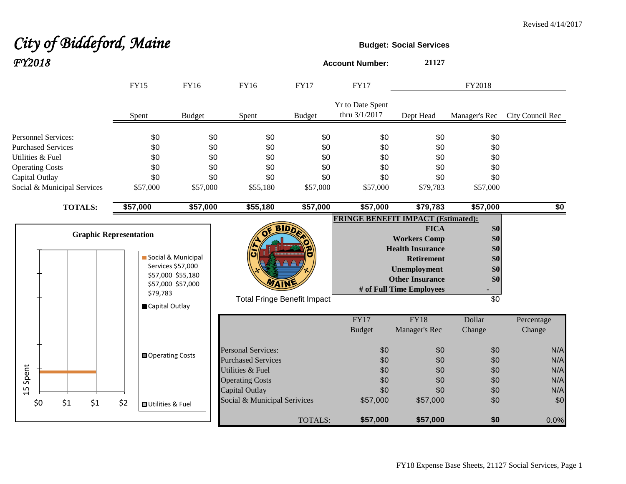# **City of Biddeford, Maine Budget:** Social Services *FY2018* **Account Number: <sup>21127</sup>**

|                                                                             | <b>FY15</b>                      | <b>FY16</b>                                                                       | <b>FY16</b>                                                                                                            | <b>FY17</b>            | <b>FY17</b>                                              |                                                                                                                                                                                                              | FY2018                                              |                                                         |
|-----------------------------------------------------------------------------|----------------------------------|-----------------------------------------------------------------------------------|------------------------------------------------------------------------------------------------------------------------|------------------------|----------------------------------------------------------|--------------------------------------------------------------------------------------------------------------------------------------------------------------------------------------------------------------|-----------------------------------------------------|---------------------------------------------------------|
|                                                                             | Spent                            | <b>Budget</b>                                                                     | Spent                                                                                                                  | <b>Budget</b>          | Yr to Date Spent<br>thru 3/1/2017                        | Dept Head                                                                                                                                                                                                    | Manager's Rec                                       | City Council Rec                                        |
| <b>Personnel Services:</b><br><b>Purchased Services</b><br>Utilities & Fuel | \$0<br>\$0<br>\$0                | \$0<br>\$0<br>\$0                                                                 | \$0<br>\$0<br>\$0                                                                                                      | \$0<br>\$0<br>\$0      | \$0<br>\$0<br>\$0                                        | \$0<br>\$0<br>\$0                                                                                                                                                                                            | \$0<br>\$0<br>\$0                                   |                                                         |
| <b>Operating Costs</b><br>Capital Outlay<br>Social & Municipal Services     | \$0<br>\$0<br>\$57,000           | \$0<br>\$0<br>\$57,000                                                            | \$0<br>\$0<br>\$55,180                                                                                                 | \$0<br>\$0<br>\$57,000 | \$0<br>\$0<br>\$57,000                                   | \$0<br>\$0<br>\$79,783                                                                                                                                                                                       | \$0<br>\$0<br>\$57,000                              |                                                         |
| <b>TOTALS:</b>                                                              | \$57,000                         | \$57,000                                                                          | \$55,180                                                                                                               | \$57,000               | \$57,000                                                 | \$79,783                                                                                                                                                                                                     | \$57,000                                            | \$0                                                     |
| <b>Graphic Representation</b>                                               | \$79,783<br>Capital Outlay       | Social & Municipal<br>Services \$57,000<br>\$57,000 \$55,180<br>\$57,000 \$57,000 | <b>Total Fringe Benefit Impact</b>                                                                                     | <b>BIDD</b>            |                                                          | <b>FRINGE BENEFIT IMPACT (Estimated):</b><br><b>FICA</b><br><b>Workers Comp</b><br><b>Health Insurance</b><br><b>Retirement</b><br><b>Unemployment</b><br><b>Other Insurance</b><br># of Full Time Employees | \$0<br>\$0<br>\$0<br>\$0<br>\$0<br>\$0<br>\$0       |                                                         |
| Spent<br>Б<br>$\overline{\phantom{0}}$                                      | <b>■ Operating Costs</b>         |                                                                                   | <b>Personal Services:</b><br><b>Purchased Services</b><br>Utilities & Fuel<br><b>Operating Costs</b><br>Capital Outlay |                        | FY17<br><b>Budget</b><br>\$0<br>\$0<br>\$0<br>\$0<br>\$0 | <b>FY18</b><br>Manager's Rec<br>\$0<br>\$0<br>\$0<br>\$0<br>\$0                                                                                                                                              | Dollar<br>Change<br>\$0<br>\$0<br>\$0<br>\$0<br>\$0 | Percentage<br>Change<br>N/A<br>N/A<br>N/A<br>N/A<br>N/A |
| \$1<br>\$1<br>\$0                                                           | \$2<br><b>□</b> Utilities & Fuel |                                                                                   | Social & Municipal Serivices                                                                                           | <b>TOTALS:</b>         | \$57,000<br>\$57,000                                     | \$57,000<br>\$57,000                                                                                                                                                                                         | \$0<br>\$0                                          | \$0<br>0.0%                                             |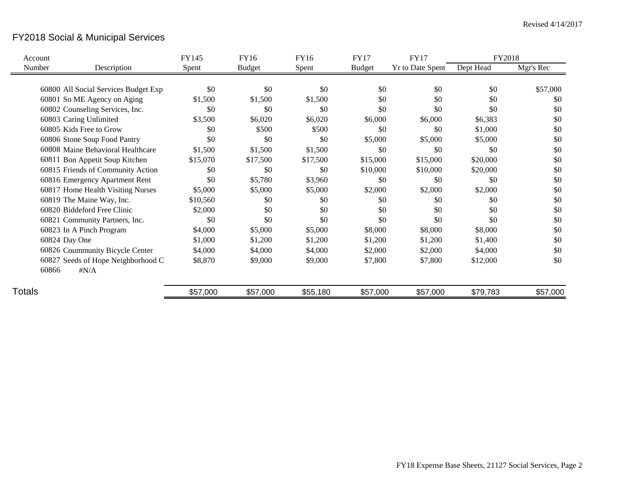# FY2018 Social & Municipal Services

| Account |                                      | FY145    | FY16          | FY16     | <b>FY17</b>   | <b>FY17</b>             | FY2018    |           |
|---------|--------------------------------------|----------|---------------|----------|---------------|-------------------------|-----------|-----------|
| Number  | Description                          | Spent    | <b>Budget</b> | Spent    | <b>Budget</b> | <b>Yr to Date Spent</b> | Dept Head | Mgr's Rec |
|         |                                      |          |               |          |               |                         |           |           |
|         | 60800 All Social Services Budget Exp | \$0      | \$0           | \$0      | \$0           | \$0                     | \$0       | \$57,000  |
|         | 60801 So ME Agency on Aging          | \$1,500  | \$1,500       | \$1,500  | \$0           | \$0                     | \$0       | \$0       |
|         | 60802 Counseling Services, Inc.      | \$0      | \$0           | \$0      | \$0           | \$0                     | \$0       | \$0       |
|         | 60803 Caring Unlimited               | \$3,500  | \$6,020       | \$6,020  | \$6,000       | \$6,000                 | \$6,383   | \$0       |
|         | 60805 Kids Free to Grow              | \$0      | \$500         | \$500    | \$0           | \$0                     | \$1,000   | \$0       |
|         | 60806 Stone Soup Food Pantry         | \$0      | \$0           | \$0      | \$5,000       | \$5,000                 | \$5,000   | \$0       |
|         | 60808 Maine Behavioral Healthcare    | \$1,500  | \$1,500       | \$1,500  | \$0           | \$0                     | \$0       | \$0       |
|         | 60811 Bon Appetit Soup Kitchen       | \$15,070 | \$17,500      | \$17,500 | \$15,000      | \$15,000                | \$20,000  | \$0       |
|         | 60815 Friends of Community Action    | \$0      | \$0           | \$0      | \$10,000      | \$10,000                | \$20,000  | \$0       |
|         | 60816 Emergency Apartment Rent       | \$0      | \$5,780       | \$3,960  | \$0           | \$0                     | \$0       | \$0       |
|         | 60817 Home Health Visiting Nurses    | \$5,000  | \$5,000       | \$5,000  | \$2,000       | \$2,000                 | \$2,000   | \$0       |
|         | 60819 The Maine Way, Inc.            | \$10,560 | \$0           | \$0      | \$0           | \$0                     | \$0       | \$0       |
|         | 60820 Biddeford Free Clinic          | \$2,000  | \$0           | \$0      | \$0           | \$0                     | \$0       | \$0       |
|         | 60821 Community Partners, Inc.       | \$0      | \$0           | \$0      | \$0           | \$0                     | \$0       | \$0       |
|         | 60823 In A Pinch Program             | \$4,000  | \$5,000       | \$5,000  | \$8,000       | \$8,000                 | \$8,000   | \$0       |
|         | 60824 Day One                        | \$1,000  | \$1,200       | \$1,200  | \$1,200       | \$1,200                 | \$1,400   | \$0       |
|         | 60826 Coummunity Bicycle Center      | \$4,000  | \$4,000       | \$4,000  | \$2,000       | \$2,000                 | \$4,000   | \$0       |
|         | 60827 Seeds of Hope Neighborhood C   | \$8,870  | \$9,000       | \$9,000  | \$7,800       | \$7,800                 | \$12,000  | \$0       |
|         | 60866<br>$\sharp N/A$                |          |               |          |               |                         |           |           |
| Totals  |                                      | \$57,000 | \$57,000      | \$55,180 | \$57,000      | \$57,000                | \$79,783  | \$57,000  |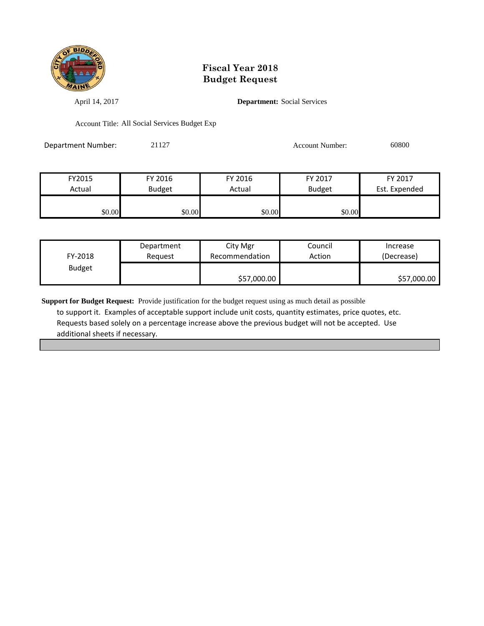

April 14, 2017 **Department:** Social Services

Account Title: All Social Services Budget Exp

Department Number: 21127 Account Number: 60800

| FY2015 | FY 2016       | FY 2016 | FY 2017       | FY 2017       |
|--------|---------------|---------|---------------|---------------|
| Actual | <b>Budget</b> | Actual  | <b>Budget</b> | Est. Expended |
|        |               |         |               |               |
| \$0.00 | \$0.00        | \$0.00  | \$0.00        |               |

| FY-2018       | Department | City Mgr       | Council | Increase    |
|---------------|------------|----------------|---------|-------------|
|               | Reguest    | Recommendation | Action  | (Decrease)  |
| <b>Budget</b> |            | \$57,000.00    |         | \$57,000.00 |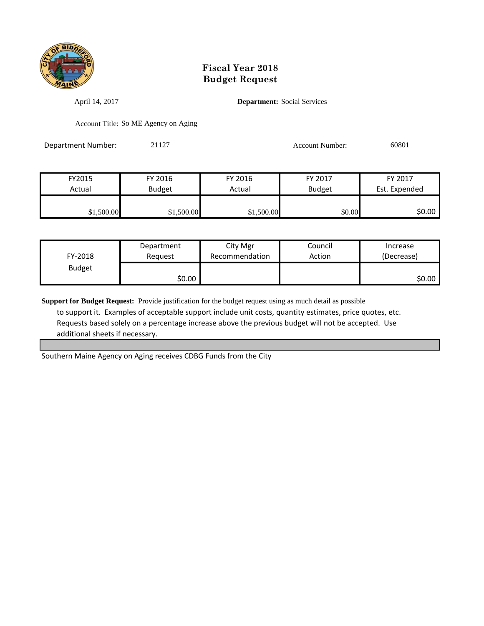

April 14, 2017 **Department:** Social Services

Account Title: So ME Agency on Aging

Department Number: 21127 2009 2012 2012 2012 2012 2020 20301

| FY2015     | FY 2016       | FY 2016    | FY 2017       | FY 2017       |
|------------|---------------|------------|---------------|---------------|
| Actual     | <b>Budget</b> | Actual     | <b>Budget</b> | Est. Expended |
|            |               |            |               |               |
| \$1,500.00 | \$1,500.00    | \$1,500.00 | \$0.00        | 50.00 l       |

| FY-2018       | Department | City Mgr       | Council | Increase   |
|---------------|------------|----------------|---------|------------|
|               | Request    | Recommendation | Action  | (Decrease) |
| <b>Budget</b> | \$0.00     |                |         | \$0.00     |

**Support for Budget Request:** Provide justification for the budget request using as much detail as possible to support it. Examples of acceptable support include unit costs, quantity estimates, price quotes, etc. Requests based solely on a percentage increase above the previous budget will not be accepted. Use additional sheets if necessary.

Southern Maine Agency on Aging receives CDBG Funds from the City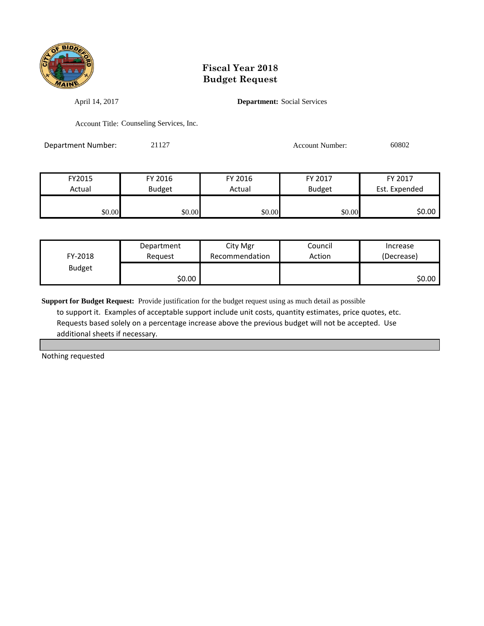

April 14, 2017 **Department:** Social Services

Account Title: Counseling Services, Inc.

Department Number: 21127 21127 Account Number: 60802

FY2015 FY 2016 FY 2016 FY 2017 FY 2017 Actual Budget Actual Budget Est. Expended \$0.00 \$0.00 \$0.00 \$0.00 \$0.00 \$0.00 \$0.00 \$0.00

| FY-2018       | Department | City Mgr       | Council | Increase   |
|---------------|------------|----------------|---------|------------|
|               | Reguest    | Recommendation | Action  | (Decrease) |
| <b>Budget</b> | \$0.00     |                |         | \$0.00     |

**Support for Budget Request:** Provide justification for the budget request using as much detail as possible to support it. Examples of acceptable support include unit costs, quantity estimates, price quotes, etc. Requests based solely on a percentage increase above the previous budget will not be accepted. Use additional sheets if necessary.

Nothing requested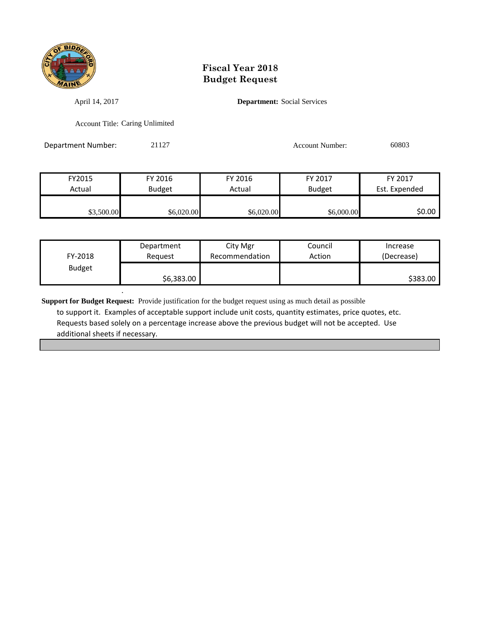

April 14, 2017 **Department:** Social Services

Account Title: Caring Unlimited

.

Department Number: 21127 2009 2012 2012 2012 2012 2020 2030 2040 2050 2060 2070 2080 2080 2080 2080 2080 2080 20

| FY2015     | FY 2016    | FY 2016    | FY 2017       | FY 2017       |
|------------|------------|------------|---------------|---------------|
| Actual     | Budget     | Actual     | <b>Budget</b> | Est. Expended |
|            |            |            |               |               |
| \$3,500.00 | \$6,020.00 | \$6,020.00 | \$6,000.00    | \$0.00 l      |

| FY-2018       | Department | City Mgr       | Council | Increase   |
|---------------|------------|----------------|---------|------------|
|               | Reauest    | Recommendation | Action  | (Decrease) |
| <b>Budget</b> | \$6,383.00 |                |         | \$383.00   |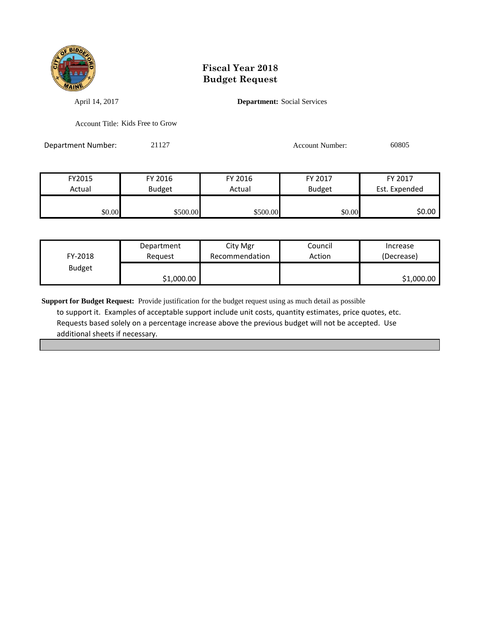

April 14, 2017 **Department:** Social Services

Account Title: Kids Free to Grow

Department Number: 21127 200805 2009 20127

| FY2015 | FY 2016       | FY 2016  | FY 2017       | FY 2017       |
|--------|---------------|----------|---------------|---------------|
| Actual | <b>Budget</b> | Actual   | <b>Budget</b> | Est. Expended |
|        |               |          |               |               |
| \$0.00 | \$500.00      | \$500.00 | \$0.00        | \$0.00        |

| FY-2018       | Department | City Mgr       | Council | Increase   |
|---------------|------------|----------------|---------|------------|
|               | Reguest    | Recommendation | Action  | (Decrease) |
| <b>Budget</b> | \$1,000.00 |                |         | \$1,000.00 |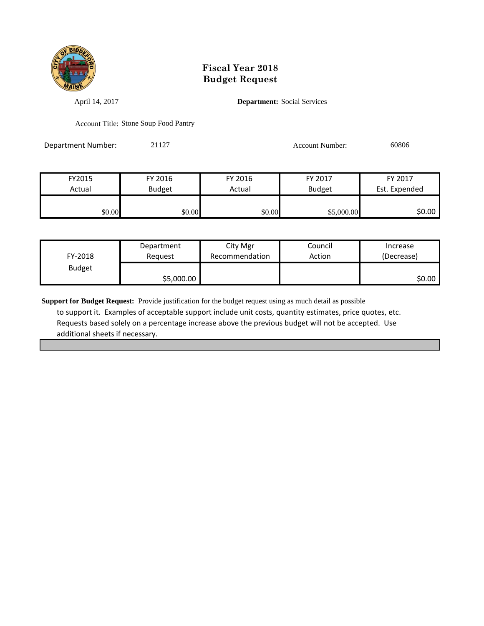

April 14, 2017 **Department:** Social Services

Account Title: Stone Soup Food Pantry

Department Number: 21127 200806 2009 20127

| FY2015 | FY 2016       | FY 2016 | FY 2017       | FY 2017       |
|--------|---------------|---------|---------------|---------------|
| Actual | <b>Budget</b> | Actual  | <b>Budget</b> | Est. Expended |
|        |               |         |               |               |
| \$0.00 | \$0.00        | \$0.00  | \$5,000.00    | 50.00 l       |

| FY-2018       | Department | City Mgr       | Council | Increase   |
|---------------|------------|----------------|---------|------------|
|               | Reauest    | Recommendation | Action  | (Decrease) |
| <b>Budget</b> | \$5,000.00 |                |         | \$0.00     |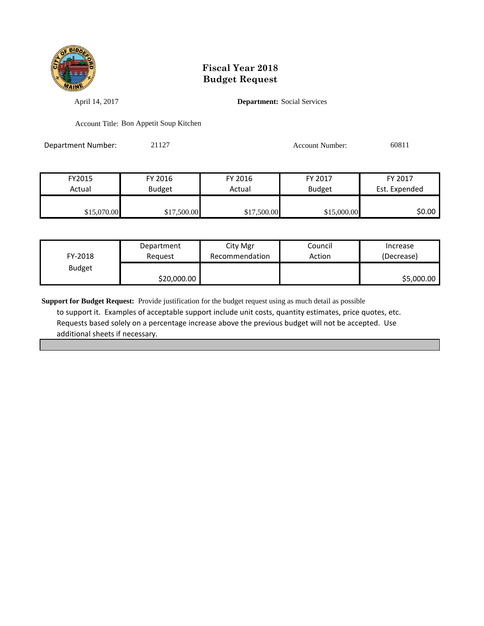

April 14, 2017 **Department:** Social Services

Account Title: Bon Appetit Soup Kitchen

Department Number: 21127 21127 Account Number: 60811

| FY2015      | FY 2016       | FY 2016     | FY 2017       | FY 2017       |
|-------------|---------------|-------------|---------------|---------------|
| Actual      | <b>Budget</b> | Actual      | <b>Budget</b> | Est. Expended |
|             |               |             |               |               |
| \$15,070.00 | \$17,500.00   | \$17,500.00 | \$15,000.00   | \$0.00        |

| FY-2018       | Department  | City Mgr       | Council | Increase   |
|---------------|-------------|----------------|---------|------------|
|               | Reauest     | Recommendation | Action  | (Decrease) |
| <b>Budget</b> | \$20,000.00 |                |         | \$5,000.00 |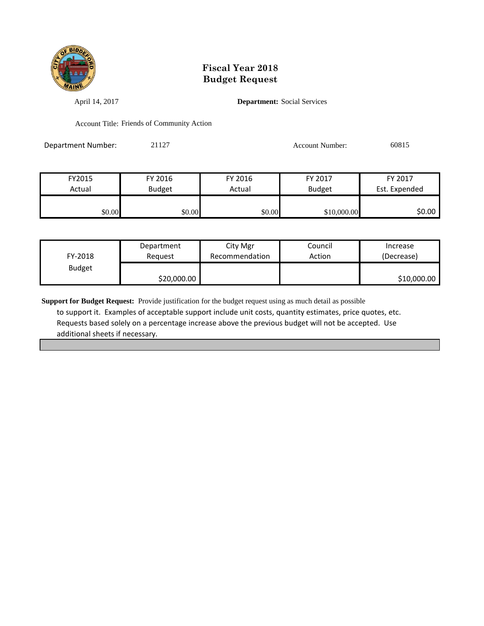

April 14, 2017 **Department:** Social Services

Account Title: Friends of Community Action

Department Number: 21127 Account Number: 60815

FY2015 FY 2016 FY 2016 FY 2017 FY 2017 Actual Budget Actual Budget Est. Expended \$0.00 \$0.00 \$0.00 \$0.00 \$0.00 \$10,000.00 \$0.00

| FY-2018       | Department  | City Mgr       | Council | Increase    |
|---------------|-------------|----------------|---------|-------------|
|               | Reauest     | Recommendation | Action  | (Decrease)  |
| <b>Budget</b> | \$20,000.00 |                |         | \$10,000.00 |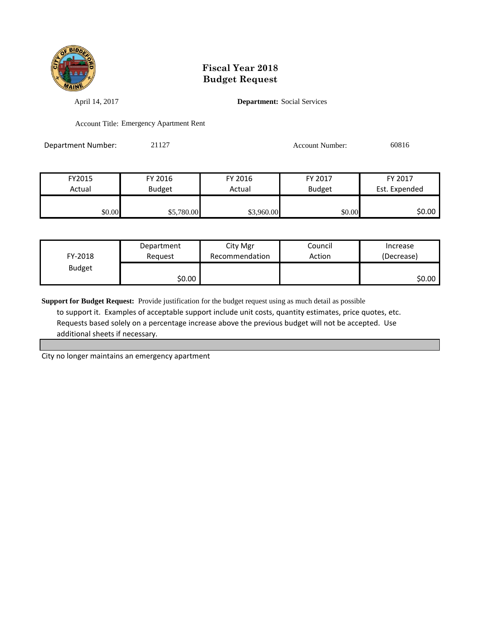

April 14, 2017 **Department:** Social Services

Account Title: Emergency Apartment Rent

Department Number: 21127 Account Number: 60816

| FY2015 | FY 2016       | FY 2016    | FY 2017       | FY 2017       |
|--------|---------------|------------|---------------|---------------|
| Actual | <b>Budget</b> | Actual     | <b>Budget</b> | Est. Expended |
|        |               |            |               |               |
| \$0.00 | \$5,780.00    | \$3,960.00 | \$0.00        | \$0.00        |

| FY-2018       | Department | City Mgr       | Council | Increase   |
|---------------|------------|----------------|---------|------------|
|               | Reauest    | Recommendation | Action  | (Decrease) |
| <b>Budget</b> | \$0.00     |                |         | \$0.00     |

**Support for Budget Request:** Provide justification for the budget request using as much detail as possible to support it. Examples of acceptable support include unit costs, quantity estimates, price quotes, etc. Requests based solely on a percentage increase above the previous budget will not be accepted. Use additional sheets if necessary.

City no longer maintains an emergency apartment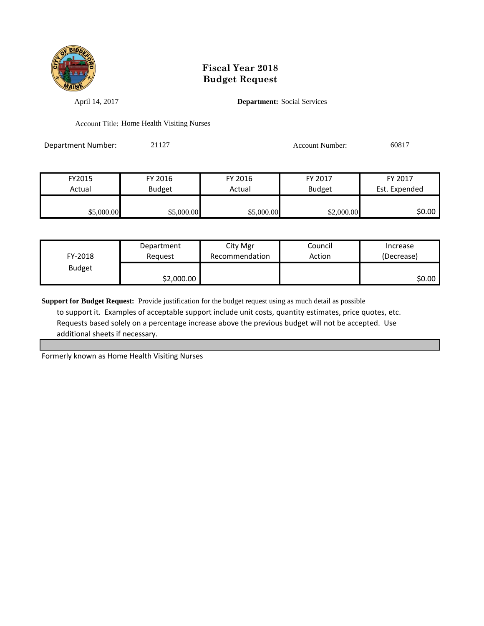

April 14, 2017 **Department:** Social Services

Account Title: Home Health Visiting Nurses

Department Number: 21127 200817

| FY2015     | FY 2016       | FY 2016    | FY 2017       | FY 2017       |
|------------|---------------|------------|---------------|---------------|
| Actual     | <b>Budget</b> | Actual     | <b>Budget</b> | Est. Expended |
|            |               |            |               |               |
| \$5,000.00 | \$5,000.00    | \$5,000.00 | \$2,000.00    | \$0.00        |

| FY-2018       | Department | City Mgr       | Council | Increase   |
|---------------|------------|----------------|---------|------------|
|               | Reauest    | Recommendation | Action  | (Decrease) |
| <b>Budget</b> | \$2,000.00 |                |         | \$0.00     |

**Support for Budget Request:** Provide justification for the budget request using as much detail as possible to support it. Examples of acceptable support include unit costs, quantity estimates, price quotes, etc. Requests based solely on a percentage increase above the previous budget will not be accepted. Use additional sheets if necessary.

Formerly known as Home Health Visiting Nurses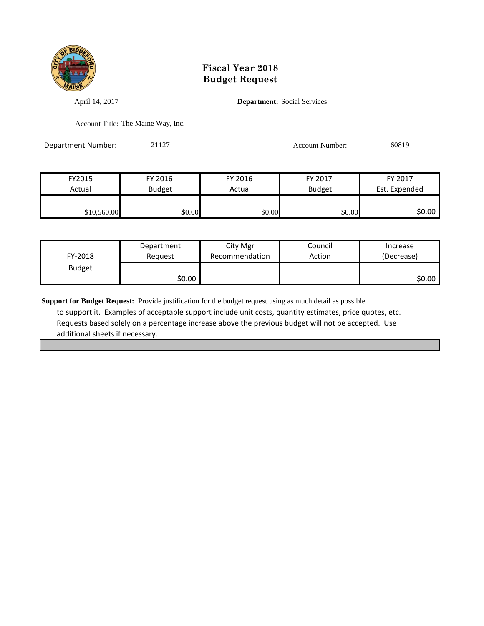

April 14, 2017 **Department:** Social Services

Account Title: The Maine Way, Inc.

Department Number: 21127 Account Number: 60819

| FY2015      | FY 2016       | FY 2016 | FY 2017       | FY 2017       |
|-------------|---------------|---------|---------------|---------------|
| Actual      | <b>Budget</b> | Actual  | <b>Budget</b> | Est. Expended |
|             |               |         |               |               |
| \$10,560.00 | \$0.00        | \$0.00  | \$0.00        | 50.00 l       |

| FY-2018       | Department | City Mgr       | Council | Increase   |
|---------------|------------|----------------|---------|------------|
|               | Reauest    | Recommendation | Action  | (Decrease) |
| <b>Budget</b> | \$0.00     |                |         | \$0.00     |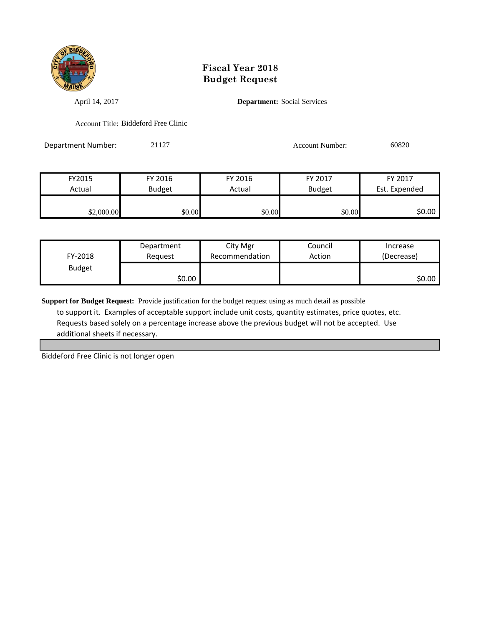

April 14, 2017 **Department:** Social Services

Account Title: Biddeford Free Clinic

Department Number: 21127 200820 Account Number: 60820

| FY2015     | FY 2016       | FY 2016 | FY 2017       | FY 2017       |
|------------|---------------|---------|---------------|---------------|
| Actual     | <b>Budget</b> | Actual  | <b>Budget</b> | Est. Expended |
|            |               |         |               |               |
| \$2,000.00 | \$0.00        | \$0.00  | \$0.00        | \$0.00        |

| FY-2018       | Department | City Mgr       | Council | Increase   |
|---------------|------------|----------------|---------|------------|
|               | Reauest    | Recommendation | Action  | (Decrease) |
| <b>Budget</b> | \$0.00     |                |         | \$0.00     |

**Support for Budget Request:** Provide justification for the budget request using as much detail as possible to support it. Examples of acceptable support include unit costs, quantity estimates, price quotes, etc. Requests based solely on a percentage increase above the previous budget will not be accepted. Use additional sheets if necessary.

Biddeford Free Clinic is not longer open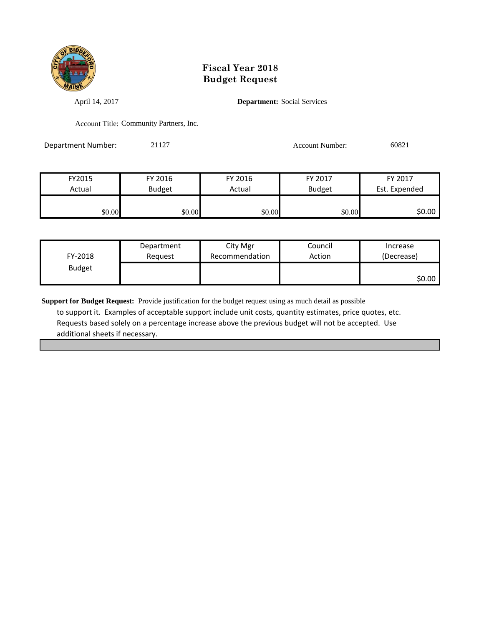

April 14, 2017 **Department:** Social Services

Account Title: Community Partners, Inc.

Department Number: 21127 21127 Account Number: 60821

| FY2015 | FY 2016       | FY 2016 | FY 2017       | FY 2017       |
|--------|---------------|---------|---------------|---------------|
| Actual | <b>Budget</b> | Actual  | <b>Budget</b> | Est. Expended |
|        |               |         |               |               |
| \$0.00 | \$0.00        | \$0.00  | \$0.00        | \$0.00        |

| FY-2018       | Department | City Mgr       | Council | Increase   |
|---------------|------------|----------------|---------|------------|
|               | Reauest    | Recommendation | Action  | (Decrease) |
| <b>Budget</b> |            |                |         | \$0.00     |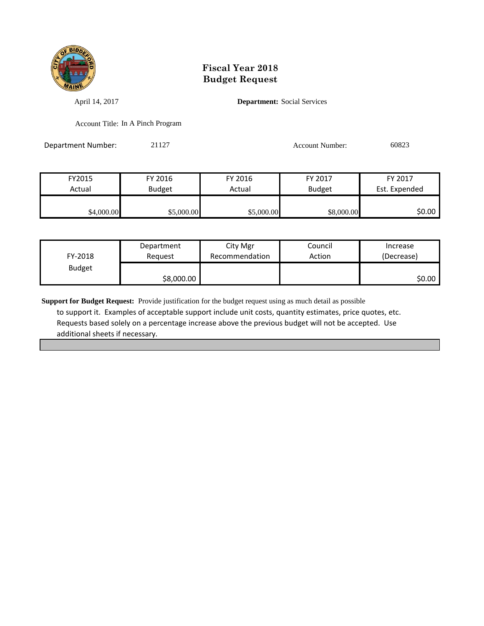

April 14, 2017 **Department:** Social Services

Account Title: In A Pinch Program

Department Number: 21127 21127 Account Number: 60823

| FY2015     | FY 2016       | FY 2016    | FY 2017       | FY 2017       |
|------------|---------------|------------|---------------|---------------|
| Actual     | <b>Budget</b> | Actual     | <b>Budget</b> | Est. Expended |
|            |               |            |               |               |
| \$4,000.00 | \$5,000.00    | \$5,000.00 | \$8,000.00    | SO.OO I       |

| FY-2018       | Department | City Mgr       | Council | Increase   |
|---------------|------------|----------------|---------|------------|
|               | Reauest    | Recommendation | Action  | (Decrease) |
| <b>Budget</b> | \$8,000.00 |                |         | \$0.00     |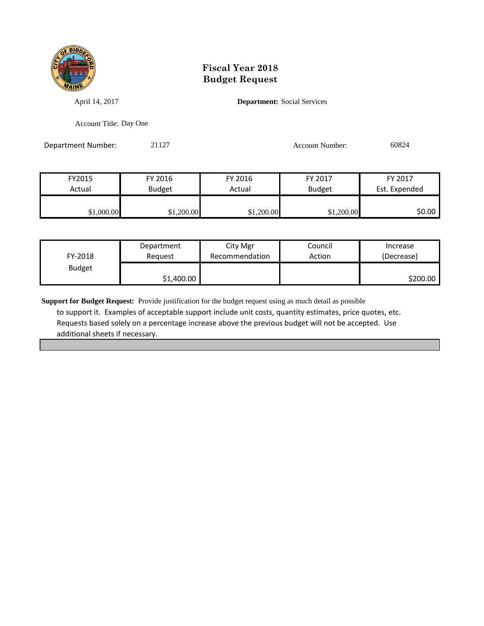

April 14, 2017 **Department:** Social Services

Account Title: Day One

Department Number: 21127 21127 Account Number: 60824

| FY2015     | FY 2016       | FY 2016    | FY 2017       | FY 2017       |
|------------|---------------|------------|---------------|---------------|
| Actual     | <b>Budget</b> | Actual     | <b>Budget</b> | Est. Expended |
|            |               |            |               |               |
| \$1,000.00 | \$1,200.00    | \$1,200.00 | \$1,200.00    | SO.OO I       |

| FY-2018       | Department | City Mgr       | Council | Increase   |
|---------------|------------|----------------|---------|------------|
|               | Reauest    | Recommendation | Action  | (Decrease) |
| <b>Budget</b> | \$1,400.00 |                |         | \$200.00   |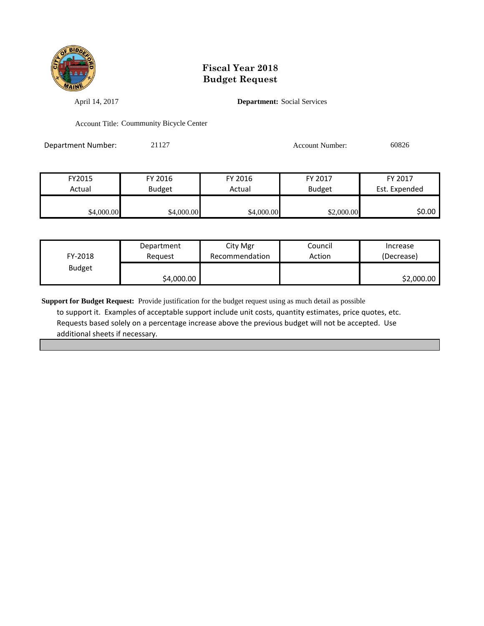

April 14, 2017 **Department:** Social Services

Account Title: Coummunity Bicycle Center

Department Number: 21127 Account Number: 60826

| FY2015     | FY 2016       | FY 2016    | FY 2017       | FY 2017       |
|------------|---------------|------------|---------------|---------------|
| Actual     | <b>Budget</b> | Actual     | <b>Budget</b> | Est. Expended |
|            |               |            |               |               |
| \$4,000.00 | \$4,000.00    | \$4,000.00 | \$2,000.00    | 50.00 l       |

| FY-2018       | Department | City Mgr       | Council | Increase   |
|---------------|------------|----------------|---------|------------|
|               | Reauest    | Recommendation | Action  | (Decrease) |
| <b>Budget</b> | \$4,000.00 |                |         | \$2,000.00 |